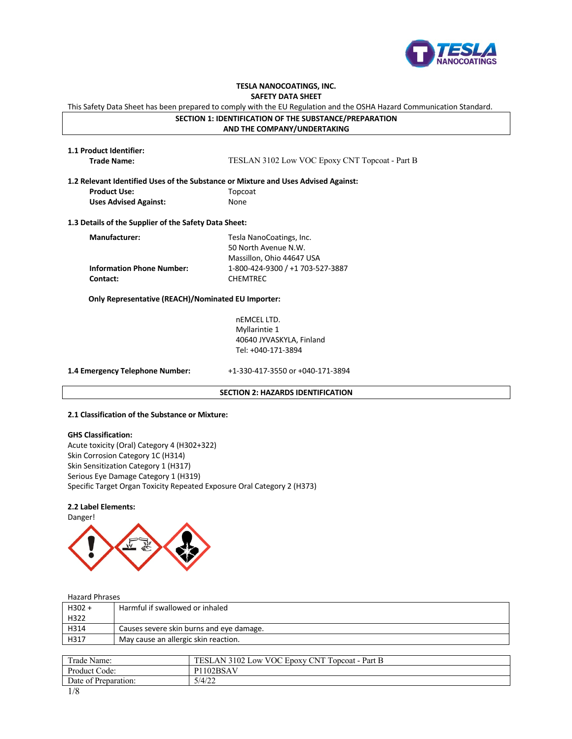

# **TESLA NANOCOATINGS, INC.**

**SAFETY DATA SHEET**

This Safety Data Sheet has been prepared to comply with the EU Regulation and the OSHA Hazard Communication Standard.

# **SECTION 1: IDENTIFICATION OF THE SUBSTANCE/PREPARATION**

**AND THE COMPANY/UNDERTAKING**

| 1.1 Product Identifier: |  |
|-------------------------|--|
| Trade Name:             |  |

Trade Name: TESLAN 3102 Low VOC Epoxy CNT Topcoat - Part B

**1.2 Relevant Identified Uses of the Substance or Mixture and Uses Advised Against:** Product Use: Topcoat **Uses Advised Against:** None

**1.3 Details of the Supplier of the Safety Data Sheet:**

| <b>Manufacturer:</b>             | Tesla NanoCoatings, Inc.         |
|----------------------------------|----------------------------------|
|                                  | 50 North Avenue N.W.             |
|                                  | Massillon, Ohio 44647 USA        |
| <b>Information Phone Number:</b> | 1-800-424-9300 / +1 703-527-3887 |
| Contact:                         | <b>CHEMTREC</b>                  |

 **Only Representative (REACH)/Nominated EU Importer:**

nEMCEL LTD. Myllarintie 1 40640 JYVASKYLA, Finland Tel: +040-171-3894

**1.4 Emergency Telephone Number:** +1-330-417-3550 or +040-171-3894

# **SECTION 2: HAZARDS IDENTIFICATION**

#### **2.1 Classification of the Substance or Mixture:**

#### **GHS Classification:**

Acute toxicity (Oral) Category 4 (H302+322) Skin Corrosion Category 1C (H314) Skin Sensitization Category 1 (H317) Serious Eye Damage Category 1 (H319) Specific Target Organ Toxicity Repeated Exposure Oral Category 2 (H373)

## **2.2 Label Elements:**



Danger!



Hazard Phrases

| 110201 U T THUYU |                                          |  |
|------------------|------------------------------------------|--|
| $H302 +$         | Harmful if swallowed or inhaled          |  |
| H322             |                                          |  |
| H314             | Causes severe skin burns and eye damage. |  |
| H317             | May cause an allergic skin reaction.     |  |
|                  |                                          |  |

| Trade Name:          | TESLAN 3102 Low VOC Epoxy<br><b>CNT</b> To<br>Topcoat - Part B |
|----------------------|----------------------------------------------------------------|
| Product Code:        | P1102BSAV                                                      |
| Date of Preparation: | 5/4/22                                                         |
| $\sim$ $\sim$        |                                                                |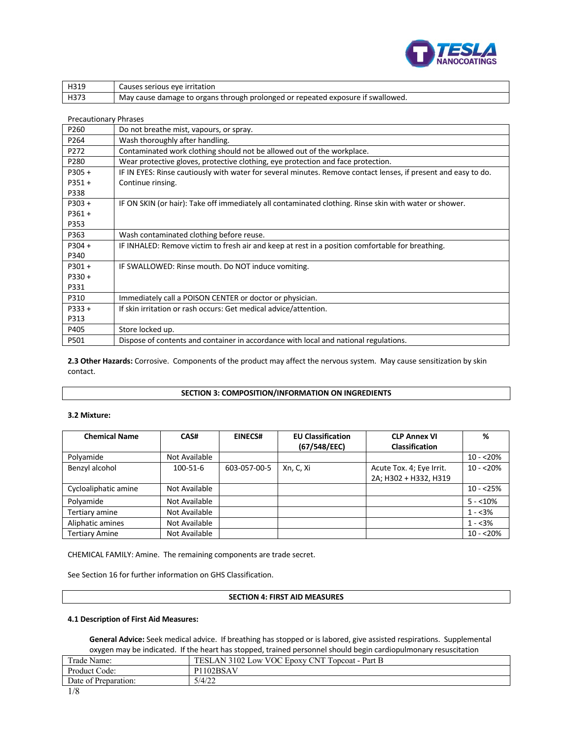

| H319 | Causes serious eve irritation                                                   |
|------|---------------------------------------------------------------------------------|
| H373 | May cause damage to organs through prolonged or repeated exposure if swallowed. |

# Precautionary Phrases

| P260             | Do not breathe mist, vapours, or spray.                                                                        |
|------------------|----------------------------------------------------------------------------------------------------------------|
| P <sub>264</sub> | Wash thoroughly after handling.                                                                                |
| P272             | Contaminated work clothing should not be allowed out of the workplace.                                         |
| P280             | Wear protective gloves, protective clothing, eye protection and face protection.                               |
| $P305 +$         | IF IN EYES: Rinse cautiously with water for several minutes. Remove contact lenses, if present and easy to do. |
| $P351 +$         | Continue rinsing.                                                                                              |
| P338             |                                                                                                                |
| P303+            | IF ON SKIN (or hair): Take off immediately all contaminated clothing. Rinse skin with water or shower.         |
| $P361 +$         |                                                                                                                |
| P353             |                                                                                                                |
| P363             | Wash contaminated clothing before reuse.                                                                       |
| $P304 +$         | IF INHALED: Remove victim to fresh air and keep at rest in a position comfortable for breathing.               |
| P340             |                                                                                                                |
| $P301 +$         | IF SWALLOWED: Rinse mouth. Do NOT induce vomiting.                                                             |
| $P330 +$         |                                                                                                                |
| P331             |                                                                                                                |
| P310             | Immediately call a POISON CENTER or doctor or physician.                                                       |
| $P333 +$         | If skin irritation or rash occurs: Get medical advice/attention.                                               |
| P313             |                                                                                                                |
| P405             | Store locked up.                                                                                               |
| P501             | Dispose of contents and container in accordance with local and national regulations.                           |

**2.3 Other Hazards:** Corrosive. Components of the product may affect the nervous system. May cause sensitization by skin contact.

# **SECTION 3: COMPOSITION/INFORMATION ON INGREDIENTS**

# **3.2 Mixture:**

| <b>Chemical Name</b>  | CAS#           | <b>EINECS#</b> | <b>EU Classification</b><br>(67/548/EEC) | <b>CLP Annex VI</b><br><b>Classification</b>      | %          |
|-----------------------|----------------|----------------|------------------------------------------|---------------------------------------------------|------------|
| Polyamide             | Not Available  |                |                                          |                                                   | $10 - 20%$ |
| Benzyl alcohol        | $100 - 51 - 6$ | 603-057-00-5   | Xn, C, Xi                                | Acute Tox. 4; Eye Irrit.<br>2A; H302 + H332, H319 | $10 - 20%$ |
| Cycloaliphatic amine  | Not Available  |                |                                          |                                                   | $10 - 25%$ |
| Polyamide             | Not Available  |                |                                          |                                                   | $5 - 10\%$ |
| Tertiary amine        | Not Available  |                |                                          |                                                   | $1 - 3%$   |
| Aliphatic amines      | Not Available  |                |                                          |                                                   | $1 - 3%$   |
| <b>Tertiary Amine</b> | Not Available  |                |                                          |                                                   | $10 - 20%$ |

CHEMICAL FAMILY: Amine. The remaining components are trade secret.

See Section 16 for further information on GHS Classification.

# **SECTION 4: FIRST AID MEASURES**

# **4.1 Description of First Aid Measures:**

**General Advice:** Seek medical advice. If breathing has stopped or is labored, give assisted respirations. Supplemental oxygen may be indicated. If the heart has stopped, trained personnel should begin cardiopulmonary resuscitation

| $\sim$<br>rade<br>Name: | TESLAN 3102 I<br>VOC E<br>CNT To<br>Fopcoat - Part B<br>Low<br><b>EDOXV CN</b> |
|-------------------------|--------------------------------------------------------------------------------|
| Product Code:           | 102BSAV<br>D1                                                                  |
| Date of Preparation:    | 5/4/22                                                                         |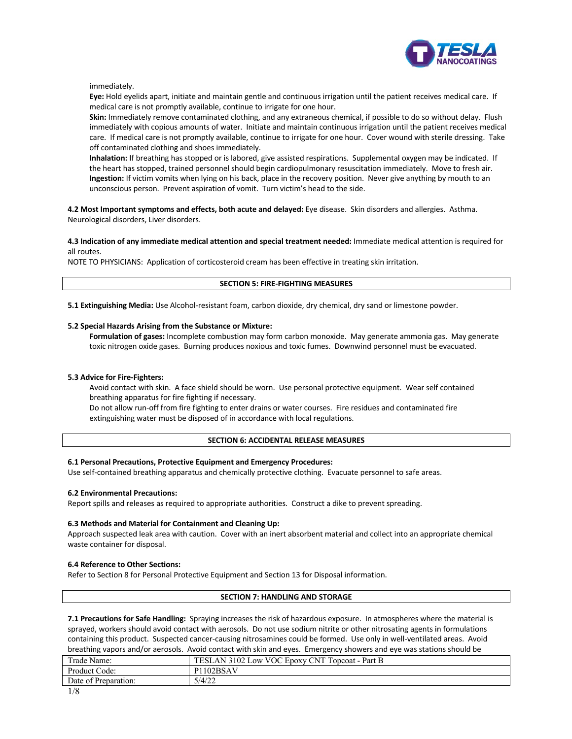

immediately.

**Eye:** Hold eyelids apart, initiate and maintain gentle and continuous irrigation until the patient receives medical care. If medical care is not promptly available, continue to irrigate for one hour.

**Skin:** Immediately remove contaminated clothing, and any extraneous chemical, if possible to do so without delay. Flush immediately with copious amounts of water. Initiate and maintain continuous irrigation until the patient receives medical care. If medical care is not promptly available, continue to irrigate for one hour. Cover wound with sterile dressing. Take off contaminated clothing and shoes immediately.

**Inhalation:** If breathing has stopped or is labored, give assisted respirations. Supplemental oxygen may be indicated. If the heart has stopped, trained personnel should begin cardiopulmonary resuscitation immediately. Move to fresh air. **Ingestion:** If victim vomits when lying on his back, place in the recovery position. Never give anything by mouth to an unconscious person. Prevent aspiration of vomit. Turn victim's head to the side.

**4.2 Most Important symptoms and effects, both acute and delayed:** Eye disease. Skin disorders and allergies. Asthma. Neurological disorders, Liver disorders.

**4.3 Indication of any immediate medical attention and special treatment needed:** Immediate medical attention is required for all routes.

NOTE TO PHYSICIANS: Application of corticosteroid cream has been effective in treating skin irritation.

## **SECTION 5: FIRE-FIGHTING MEASURES**

**5.1 Extinguishing Media:** Use Alcohol-resistant foam, carbon dioxide, dry chemical, dry sand or limestone powder.

#### **5.2 Special Hazards Arising from the Substance or Mixture:**

**Formulation of gases:** Incomplete combustion may form carbon monoxide. May generate ammonia gas. May generate toxic nitrogen oxide gases. Burning produces noxious and toxic fumes. Downwind personnel must be evacuated.

## **5.3 Advice for Fire-Fighters:**

Avoid contact with skin. A face shield should be worn. Use personal protective equipment. Wear self contained breathing apparatus for fire fighting if necessary.

Do not allow run-off from fire fighting to enter drains or water courses. Fire residues and contaminated fire extinguishing water must be disposed of in accordance with local regulations.

## **SECTION 6: ACCIDENTAL RELEASE MEASURES**

## **6.1 Personal Precautions, Protective Equipment and Emergency Procedures:**

Use self-contained breathing apparatus and chemically protective clothing. Evacuate personnel to safe areas.

## **6.2 Environmental Precautions:**

Report spills and releases as required to appropriate authorities. Construct a dike to prevent spreading.

#### **6.3 Methods and Material for Containment and Cleaning Up:**

Approach suspected leak area with caution. Cover with an inert absorbent material and collect into an appropriate chemical waste container for disposal.

## **6.4 Reference to Other Sections:**

Refer to Section 8 for Personal Protective Equipment and Section 13 for Disposal information.

## **SECTION 7: HANDLING AND STORAGE**

**7.1 Precautions for Safe Handling:** Spraying increases the risk of hazardous exposure. In atmospheres where the material is sprayed, workers should avoid contact with aerosols. Do not use sodium nitrite or other nitrosating agents in formulations containing this product. Suspected cancer-causing nitrosamines could be formed. Use only in well-ventilated areas. Avoid breathing vapors and/or aerosols. Avoid contact with skin and eyes. Emergency showers and eye was stations should be

| Trade Name:          | TESLAN 3102 Low VOC Epoxy CNT To<br>Topcoat - Part B |
|----------------------|------------------------------------------------------|
| Product Code:        | P1102BSAV                                            |
| Date of Preparation: | 5/4/22                                               |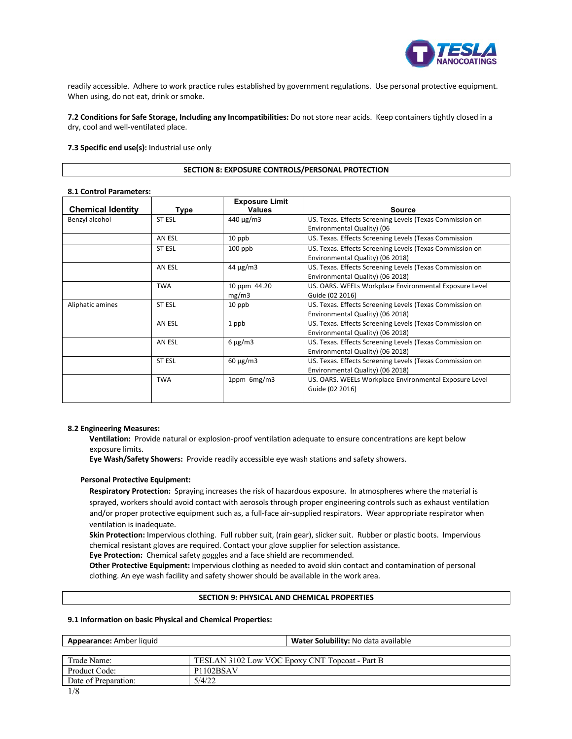

readily accessible. Adhere to work practice rules established by government regulations. Use personal protective equipment. When using, do not eat, drink or smoke.

**7.2 Conditions for Safe Storage, Including any Incompatibilities:** Do not store near acids. Keep containers tightly closed in a dry, cool and well-ventilated place.

## **7.3 Specific end use(s):** Industrial use only

#### **SECTION 8: EXPOSURE CONTROLS/PERSONAL PROTECTION**

#### **8.1 Control Parameters:**

| <b>Chemical Identity</b> | Type          | <b>Exposure Limit</b><br><b>Values</b> | <b>Source</b>                                                                                |
|--------------------------|---------------|----------------------------------------|----------------------------------------------------------------------------------------------|
| Benzyl alcohol           | <b>ST ESL</b> | $440 \mu g/m3$                         | US. Texas. Effects Screening Levels (Texas Commission on<br>Environmental Quality) (06       |
|                          | AN ESL        | 10 ppb                                 | US. Texas. Effects Screening Levels (Texas Commission                                        |
|                          | <b>ST ESL</b> | $100$ ppb                              | US. Texas. Effects Screening Levels (Texas Commission on<br>Environmental Quality) (06 2018) |
|                          | AN ESL        | $44 \mu g/m3$                          | US. Texas. Effects Screening Levels (Texas Commission on<br>Environmental Quality) (06 2018) |
|                          | <b>TWA</b>    | 10 ppm 44.20<br>mg/m3                  | US. OARS. WEELs Workplace Environmental Exposure Level<br>Guide (02 2016)                    |
| Aliphatic amines         | <b>ST ESL</b> | 10 ppb                                 | US. Texas. Effects Screening Levels (Texas Commission on<br>Environmental Quality) (06 2018) |
|                          | AN ESL        | 1 ppb                                  | US. Texas. Effects Screening Levels (Texas Commission on<br>Environmental Quality) (06 2018) |
|                          | AN ESL        | $6 \mu g/m3$                           | US. Texas. Effects Screening Levels (Texas Commission on<br>Environmental Quality) (06 2018) |
|                          | <b>ST ESL</b> | $60 \mu g/m3$                          | US. Texas. Effects Screening Levels (Texas Commission on<br>Environmental Quality) (06 2018) |
|                          | <b>TWA</b>    | 1ppm $6mg/m3$                          | US. OARS. WEELs Workplace Environmental Exposure Level<br>Guide (02 2016)                    |

#### **8.2 Engineering Measures:**

**Ventilation:** Provide natural or explosion-proof ventilation adequate to ensure concentrations are kept below exposure limits.

**Eye Wash/Safety Showers:** Provide readily accessible eye wash stations and safety showers.

## **Personal Protective Equipment:**

**Respiratory Protection:** Spraying increases the risk of hazardous exposure. In atmospheres where the material is sprayed, workers should avoid contact with aerosols through proper engineering controls such as exhaust ventilation and/or proper protective equipment such as, a full-face air-supplied respirators. Wear appropriate respirator when ventilation is inadequate.

**Skin Protection:** Impervious clothing. Full rubber suit, (rain gear), slicker suit. Rubber or plastic boots. Impervious chemical resistant gloves are required. Contact your glove supplier for selection assistance.

**Eye Protection:** Chemical safety goggles and a face shield are recommended.

**Other Protective Equipment:** Impervious clothing as needed to avoid skin contact and contamination of personal clothing. An eye wash facility and safety shower should be available in the work area.

## **SECTION 9: PHYSICAL AND CHEMICAL PROPERTIES**

#### **9.1 Information on basic Physical and Chemical Properties:**

| <b>Appearance:</b> Amber liquid |                                                | Water Solubility: No data available |  |
|---------------------------------|------------------------------------------------|-------------------------------------|--|
|                                 |                                                |                                     |  |
| Trade Name:                     | TESLAN 3102 Low VOC Epoxy CNT Topcoat - Part B |                                     |  |
| Product Code:                   | P <sub>1102</sub> BSAV                         |                                     |  |
| Date of Preparation:            | 5/4/22                                         |                                     |  |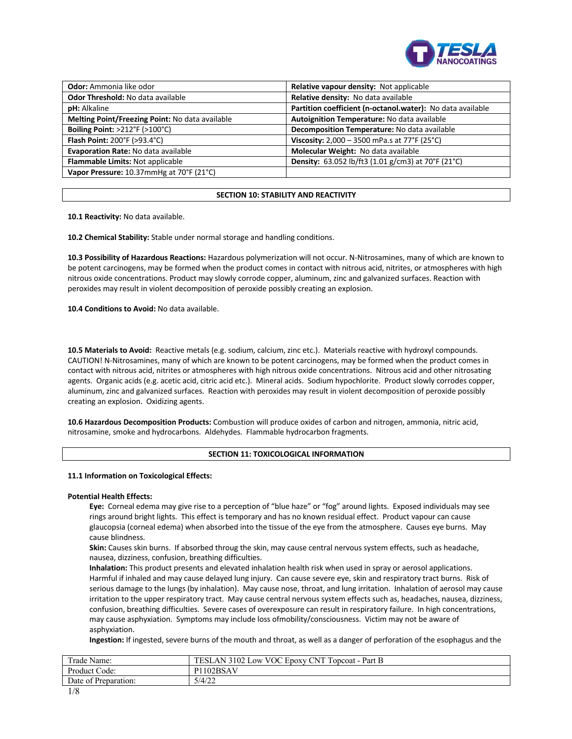

| <b>Odor:</b> Ammonia like odor                     | Relative vapour density: Not applicable                    |
|----------------------------------------------------|------------------------------------------------------------|
| Odor Threshold: No data available                  | Relative density: No data available                        |
| <b>pH:</b> Alkaline                                | Partition coefficient (n-octanol.water): No data available |
| Melting Point/Freezing Point: No data available    | Autoignition Temperature: No data available                |
| Boiling Point: $>212^{\circ}F$ ( $>100^{\circ}C$ ) | Decomposition Temperature: No data available               |
| Flash Point: 200°F (>93.4°C)                       | Viscosity: 2,000 - 3500 mPa.s at 77°F (25°C)               |
| Evaporation Rate: No data available                | Molecular Weight: No data available                        |
| Flammable Limits: Not applicable                   | Density: 63.052 lb/ft3 (1.01 g/cm3) at 70°F (21°C)         |
| Vapor Pressure: 10.37mmHg at 70°F (21°C)           |                                                            |

# **SECTION 10: STABILITY AND REACTIVITY**

**10.1 Reactivity:** No data available.

**10.2 Chemical Stability:** Stable under normal storage and handling conditions.

**10.3 Possibility of Hazardous Reactions:** Hazardous polymerization will not occur. N-Nitrosamines, many of which are known to be potent carcinogens, may be formed when the product comes in contact with nitrous acid, nitrites, or atmospheres with high nitrous oxide concentrations. Product may slowly corrode copper, aluminum, zinc and galvanized surfaces. Reaction with peroxides may result in violent decomposition of peroxide possibly creating an explosion.

**10.4 Conditions to Avoid:** No data available.

**10.5 Materials to Avoid:** Reactive metals (e.g. sodium, calcium, zinc etc.). Materials reactive with hydroxyl compounds. CAUTION! N-Nitrosamines, many of which are known to be potent carcinogens, may be formed when the product comes in contact with nitrous acid, nitrites or atmospheres with high nitrous oxide concentrations. Nitrous acid and other nitrosating agents. Organic acids (e.g. acetic acid, citric acid etc.). Mineral acids. Sodium hypochlorite. Product slowly corrodes copper, aluminum, zinc and galvanized surfaces. Reaction with peroxides may result in violent decomposition of peroxide possibly creating an explosion. Oxidizing agents.

**10.6 Hazardous Decomposition Products:** Combustion will produce oxides of carbon and nitrogen, ammonia, nitric acid, nitrosamine, smoke and hydrocarbons. Aldehydes. Flammable hydrocarbon fragments.

# **SECTION 11: TOXICOLOGICAL INFORMATION**

## **11.1 Information on Toxicological Effects:**

## **Potential Health Effects:**

**Eye:** Corneal edema may give rise to a perception of "blue haze" or "fog" around lights. Exposed individuals may see rings around bright lights. This effect is temporary and has no known residual effect. Product vapour can cause glaucopsia (corneal edema) when absorbed into the tissue of the eye from the atmosphere. Causes eye burns. May cause blindness.

**Skin:** Causes skin burns. If absorbed throug the skin, may cause central nervous system effects, such as headache, nausea, dizziness, confusion, breathing difficulties.

**Inhalation:** This product presents and elevated inhalation health risk when used in spray or aerosol applications. Harmful if inhaled and may cause delayed lung injury. Can cause severe eye, skin and respiratory tract burns. Risk of serious damage to the lungs (by inhalation). May cause nose, throat, and lung irritation. Inhalation of aerosol may cause irritation to the upper respiratory tract. May cause central nervous system effects such as, headaches, nausea, dizziness, confusion, breathing difficulties. Severe cases of overexposure can result in respiratory failure. In high concentrations, may cause asphyxiation. Symptoms may include loss ofmobility/consciousness. Victim may not be aware of asphyxiation.

**Ingestion:** If ingested, severe burns of the mouth and throat, as well as a danger of perforation of the esophagus and the

| Trade Name:          | TESLAN 3102 Low VOC Epoxy CNT To<br>Fopcoat - Part B |
|----------------------|------------------------------------------------------|
| Product Code:        | P1102BSAV                                            |
| Date of Preparation: | 5/4/22                                               |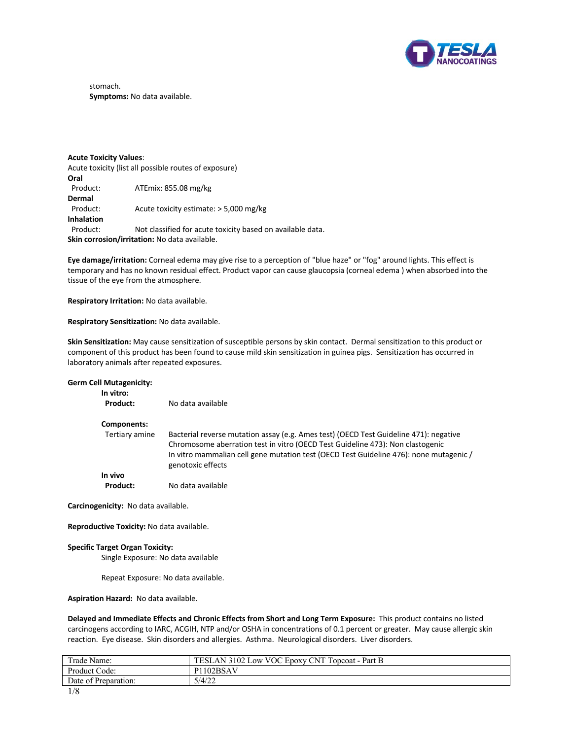

stomach. **Symptoms:** No data available.

**Acute Toxicity Values**: Acute toxicity (list all possible routes of exposure) **Oral** ATEmix: 855.08 mg/kg **Dermal** Product: Acute toxicity estimate: > 5,000 mg/kg **Inhalation** Product: Not classified for acute toxicity based on available data. **Skin corrosion/irritation:** No data available.

**Eye damage/irritation:** Corneal edema may give rise to a perception of "blue haze" or "fog" around lights. This effect is temporary and has no known residual effect. Product vapor can cause glaucopsia (corneal edema ) when absorbed into the tissue of the eye from the atmosphere.

**Respiratory Irritation:** No data available.

**Respiratory Sensitization:** No data available.

**Skin Sensitization:** May cause sensitization of susceptible persons by skin contact. Dermal sensitization to this product or component of this product has been found to cause mild skin sensitization in guinea pigs. Sensitization has occurred in laboratory animals after repeated exposures.

| <b>Germ Cell Mutagenicity:</b><br>In vitro: |                                                                                                                                                                                                                                                                                        |
|---------------------------------------------|----------------------------------------------------------------------------------------------------------------------------------------------------------------------------------------------------------------------------------------------------------------------------------------|
| Product:                                    | No data available                                                                                                                                                                                                                                                                      |
| <b>Components:</b>                          |                                                                                                                                                                                                                                                                                        |
| Tertiary amine                              | Bacterial reverse mutation assay (e.g. Ames test) (OECD Test Guideline 471): negative<br>Chromosome aberration test in vitro (OECD Test Guideline 473): Non clastogenic<br>In vitro mammalian cell gene mutation test (OECD Test Guideline 476): none mutagenic /<br>genotoxic effects |
| In vivo                                     |                                                                                                                                                                                                                                                                                        |
| Product:                                    | No data available                                                                                                                                                                                                                                                                      |
| Carcinogenicity: No data available.         |                                                                                                                                                                                                                                                                                        |

**Reproductive Toxicity:** No data available.

#### **Specific Target Organ Toxicity:**

Single Exposure: No data available

Repeat Exposure: No data available.

**Aspiration Hazard:** No data available.

**Delayed and Immediate Effects and Chronic Effects from Short and Long Term Exposure:** This product contains no listed carcinogens according to IARC, ACGIH, NTP and/or OSHA in concentrations of 0.1 percent or greater. May cause allergic skin reaction. Eye disease. Skin disorders and allergies. Asthma. Neurological disorders. Liver disorders.

| Trade Name:          | TESLAN 3102 Low VOC Epoxy CNT To<br>Fopcoat - Part B |
|----------------------|------------------------------------------------------|
| Product Code:        | P1102BSAV                                            |
| Date of Preparation: | 5/4/22                                               |
| .                    |                                                      |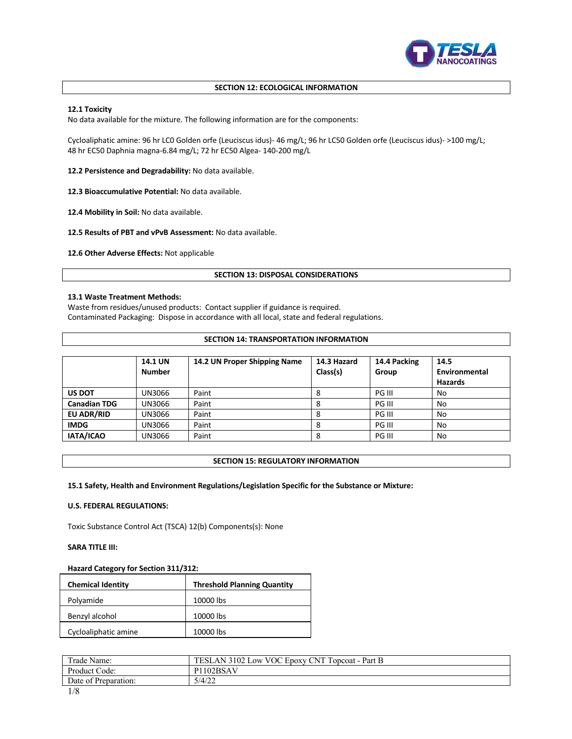

# **SECTION 12: ECOLOGICAL INFORMATION**

## **12.1 Toxicity**

No data available for the mixture. The following information are for the components:

Cycloaliphatic amine: 96 hr LC0 Golden orfe (Leuciscus idus)- 46 mg/L; 96 hr LC50 Golden orfe (Leuciscus idus)- >100 mg/L; 48 hr EC50 Daphnia magna-6.84 mg/L; 72 hr EC50 Algea- 140-200 mg/L

**12.2 Persistence and Degradability:** No data available.

**12.3 Bioaccumulative Potential:** No data available.

**12.4 Mobility in Soil:** No data available.

**12.5 Results of PBT and vPvB Assessment:** No data available.

**12.6 Other Adverse Effects:** Not applicable

#### **SECTION 13: DISPOSAL CONSIDERATIONS**

# **13.1 Waste Treatment Methods:**

Waste from residues/unused products: Contact supplier if guidance is required. Contaminated Packaging: Dispose in accordance with all local, state and federal regulations.

## **SECTION 14: TRANSPORTATION INFORMATION**

|                     | <b>14.1 UN</b><br><b>Number</b> | 14.2 UN Proper Shipping Name | 14.3 Hazard<br>Class(s) | 14.4 Packing<br>Group | 14.5<br>Environmental<br><b>Hazards</b> |
|---------------------|---------------------------------|------------------------------|-------------------------|-----------------------|-----------------------------------------|
| <b>US DOT</b>       | UN3066                          | Paint                        | 8                       | PG III                | No                                      |
| <b>Canadian TDG</b> | UN3066                          | Paint                        | 8                       | PG III                | No                                      |
| <b>EU ADR/RID</b>   | UN3066                          | Paint                        | 8                       | PG III                | No                                      |
| <b>IMDG</b>         | UN3066                          | Paint                        | 8                       | PG III                | No                                      |
| IATA/ICAO           | UN3066                          | Paint                        | 8                       | PG III                | No                                      |

# **SECTION 15: REGULATORY INFORMATION**

## **15.1 Safety, Health and Environment Regulations/Legislation Specific for the Substance or Mixture:**

## **U.S. FEDERAL REGULATIONS:**

Toxic Substance Control Act (TSCA) 12(b) Components(s): None

## **SARA TITLE III:**

# **Hazard Category for Section 311/312:**

| <b>Chemical Identity</b> | <b>Threshold Planning Quantity</b> |
|--------------------------|------------------------------------|
| Polyamide                | 10000 lbs                          |
| Benzyl alcohol           | 10000 lbs                          |
| Cycloaliphatic amine     | 10000 lbs                          |

| Trade Name:          | TESLAN 3102 Low VOC Epoxy CNT Topcoat - Part B |
|----------------------|------------------------------------------------|
| Product Code:        | P1102BSAV                                      |
| Date of Preparation: | 5/4/22                                         |
| 10 <sup>2</sup>      |                                                |